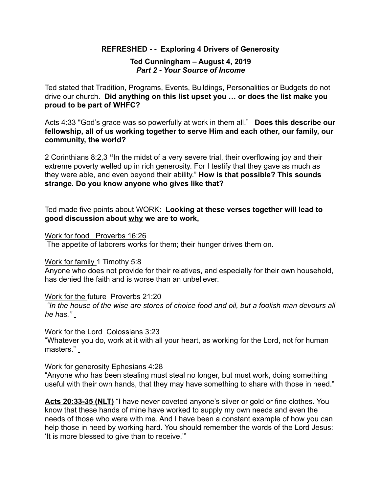## **REFRESHED - - Exploring 4 Drivers of Generosity**

#### **Ted Cunningham – August 4, 2019**  *Part 2 - Your Source of Income*

Ted stated that Tradition, Programs, Events, Buildings, Personalities or Budgets do not drive our church. **Did anything on this list upset you … or does the list make you proud to be part of WHFC?** 

Acts 4:33 "God's grace was so powerfully at work in them all." **Does this describe our fellowship, all of us working together to serve Him and each other, our family, our community, the world?** 

2 Corinthians 8:2,3 **"**In the midst of a very severe trial, their overflowing joy and their extreme poverty welled up in rich generosity. For I testify that they gave as much as they were able, and even beyond their ability." **How is that possible? This sounds strange. Do you know anyone who gives like that?** 

Ted made five points about WORK: **Looking at these verses together will lead to good discussion about why we are to work,** 

#### Work for food Proverbs 16:26

The appetite of laborers works for them; their hunger drives them on.

## Work for family 1 Timothy 5:8

Anyone who does not provide for their relatives, and especially for their own household, has denied the faith and is worse than an unbeliever.

## Work for the future Proverbs 21:20

 *"In the house of the wise are stores of choice food and oil, but a foolish man devours all he has."*

#### Work for the Lord Colossians 3:23

"Whatever you do, work at it with all your heart, as working for the Lord, not for human masters." \_

## Work for generosity Ephesians 4:28

"Anyone who has been stealing must steal no longer, but must work, doing something useful with their own hands, that they may have something to share with those in need."

**Acts 20:33-35 (NLT)** "I have never coveted anyone's silver or gold or fine clothes. You know that these hands of mine have worked to supply my own needs and even the needs of those who were with me. And I have been a constant example of how you can help those in need by working hard. You should remember the words of the Lord Jesus: 'It is more blessed to give than to receive.'"